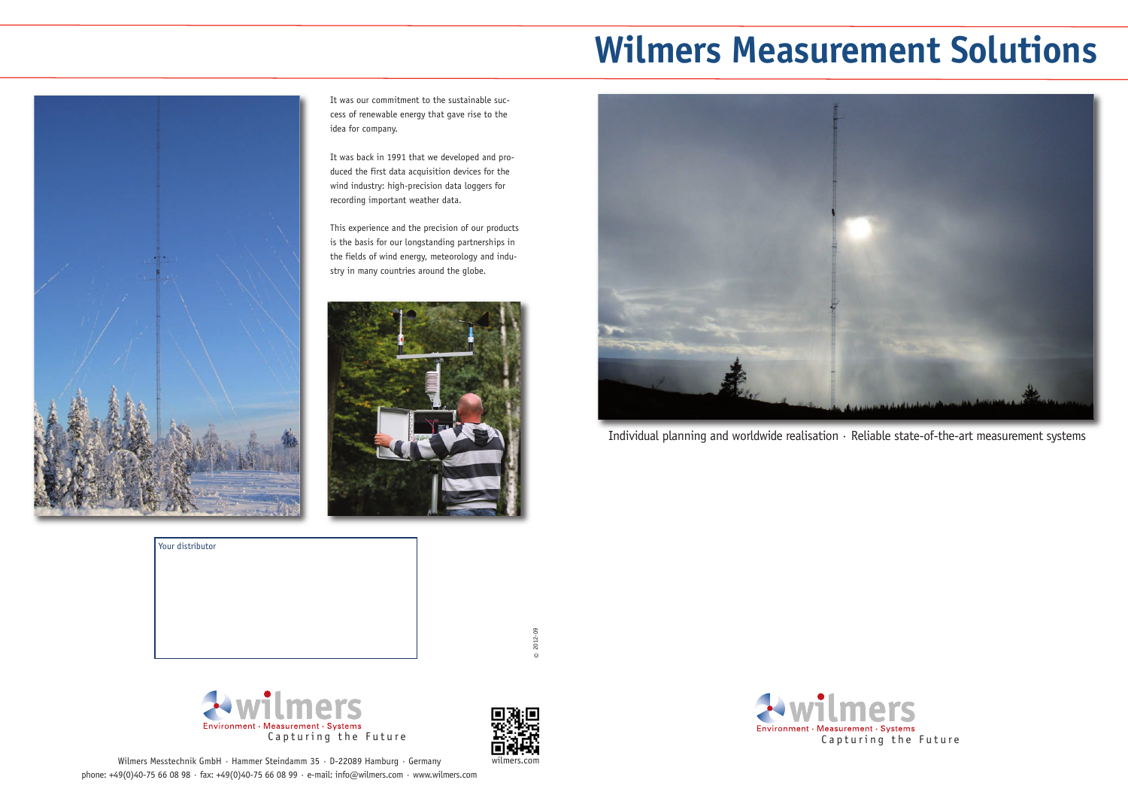



# **Wilmers Measurement Solutions**



It was our commitment to the sustainable success of renewable energy that gave rise to the idea for company.

It was back in 1991 that we developed and produced the first data acquisition devices for the wind industry: high-precision data loggers for recording important weather data.

> $\odot$ 2012-09



Wilmers Messtechnik GmbH · Hammer Steindamm 35 · D-22089 Hamburg · Germany phone: +49(0)40-75 66 08 98 · fax: +49(0)40-75 66 08 99 · e-mail: info@wilmers.com · www.wilmers.com

This experience and the precision of our products is the basis for our longstanding partnerships in the fields of wind energy, meteorology and industry in many countries around the globe.



Individual planning and worldwide realisation · Reliable state-of-the-art measurement systems